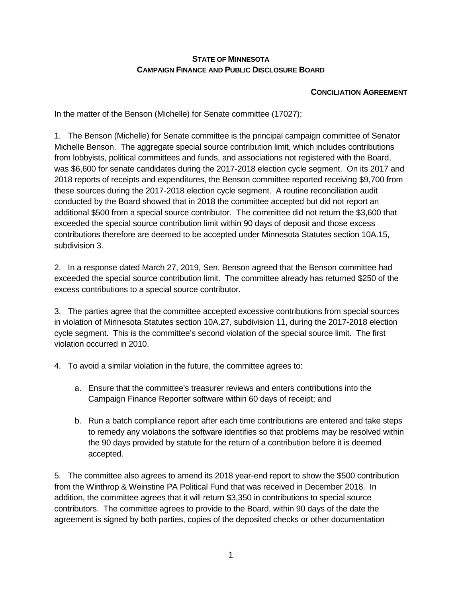## **STATE OF MINNESOTA CAMPAIGN FINANCE AND PUBLIC DISCLOSURE BOARD**

## **CONCILIATION AGREEMENT**

In the matter of the Benson (Michelle) for Senate committee (17027);

1. The Benson (Michelle) for Senate committee is the principal campaign committee of Senator Michelle Benson. The aggregate special source contribution limit, which includes contributions from lobbyists, political committees and funds, and associations not registered with the Board, was \$6,600 for senate candidates during the 2017-2018 election cycle segment. On its 2017 and 2018 reports of receipts and expenditures, the Benson committee reported receiving \$9,700 from these sources during the 2017-2018 election cycle segment. A routine reconciliation audit conducted by the Board showed that in 2018 the committee accepted but did not report an additional \$500 from a special source contributor. The committee did not return the \$3,600 that exceeded the special source contribution limit within 90 days of deposit and those excess contributions therefore are deemed to be accepted under Minnesota Statutes section 10A.15, subdivision 3.

2. In a response dated March 27, 2019, Sen. Benson agreed that the Benson committee had exceeded the special source contribution limit. The committee already has returned \$250 of the excess contributions to a special source contributor.

3. The parties agree that the committee accepted excessive contributions from special sources in violation of Minnesota Statutes section 10A.27, subdivision 11, during the 2017-2018 election cycle segment. This is the committee's second violation of the special source limit. The first violation occurred in 2010.

- 4. To avoid a similar violation in the future, the committee agrees to:
	- a. Ensure that the committee's treasurer reviews and enters contributions into the Campaign Finance Reporter software within 60 days of receipt; and
	- b. Run a batch compliance report after each time contributions are entered and take steps to remedy any violations the software identifies so that problems may be resolved within the 90 days provided by statute for the return of a contribution before it is deemed accepted.

5. The committee also agrees to amend its 2018 year-end report to show the \$500 contribution from the Winthrop & Weinstine PA Political Fund that was received in December 2018. In addition, the committee agrees that it will return \$3,350 in contributions to special source contributors. The committee agrees to provide to the Board, within 90 days of the date the agreement is signed by both parties, copies of the deposited checks or other documentation